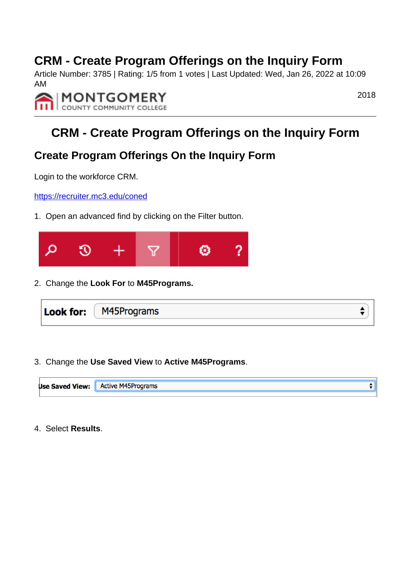## **CRM - Create Program Offerings on the Inquiry Form**

Article Number: 3785 | Rating: 1/5 from 1 votes | Last Updated: Wed, Jan 26, 2022 at 10:09 AM



2018

## **CRM - Create Program Offerings on the Inquiry Form**

### **Create Program Offerings On the Inquiry Form**

Login to the workforce CRM.

<https://recruiter.mc3.edu/coned>

1. Open an advanced find by clicking on the Filter button.



2. Change the **Look For** to **M45Programs.**



3. Change the **Use Saved View** to **Active M45Programs**.



4. Select **Results**.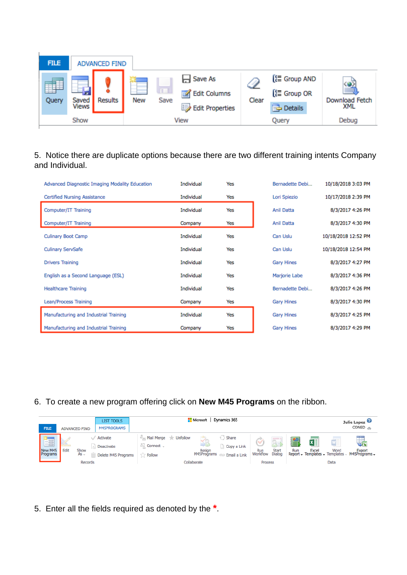| <b>FILE</b> | <b>ADVANCED FIND</b>  |                |     |                      |                                                                 |       |                                                  |                            |
|-------------|-----------------------|----------------|-----|----------------------|-----------------------------------------------------------------|-------|--------------------------------------------------|----------------------------|
| 噩<br>Query  | Saved<br><b>Views</b> | <b>Results</b> | New | $\mathbf{L}$<br>Save | H Save As<br><b>Edit Columns</b><br>⋑<br><b>Edit Properties</b> | Clear | [ ∈ Group AND<br>[旨 Group OR<br><b>P</b> Details | ≝<br>Download Fetch<br>XML |
| Show        |                       |                |     | View                 |                                                                 | Query |                                                  | Debug                      |

#### 5. Notice there are duplicate options because there are two different training intents Company and Individual.

| Advanced Diagnostic Imaging Modality Education | Individual | Yes | Bernadette Debi   | 10/18/2018 3:03 PM  |
|------------------------------------------------|------------|-----|-------------------|---------------------|
| Certified Nursing Assistance                   | Individual | Yes | Lori Spiezio      | 10/17/2018 2:39 PM  |
| Computer/IT Training                           | Individual | Yes | <b>Anil Datta</b> | 8/3/2017 4:26 PM    |
| Computer/IT Training                           | Company    | Yes | Anil Datta        | 8/3/2017 4:30 PM    |
| <b>Culinary Boot Camp</b>                      | Individual | Yes | Can Uslu          | 10/18/2018 12:52 PM |
| <b>Culinary ServSafe</b>                       | Individual | Yes | Can Uslu          | 10/18/2018 12:54 PM |
| <b>Drivers Training</b>                        | Individual | Yes | <b>Gary Hines</b> | 8/3/2017 4:27 PM    |
| English as a Second Language (ESL)             | Individual | Yes | Marjorie Labe     | 8/3/2017 4:36 PM    |
| <b>Healthcare Training</b>                     | Individual | Yes | Bernadette Debi   | 8/3/2017 4:26 PM    |
| Lean/Process Training                          | Company    | Yes | <b>Gary Hines</b> | 8/3/2017 4:30 PM    |
| Manufacturing and Industrial Training          | Individual | Yes | <b>Gary Hines</b> | 8/3/2017 4:25 PM    |
| Manufacturing and Industrial Training          | Company    | Yes | <b>Gary Hines</b> | 8/3/2017 4:29 PM    |

6. To create a new program offering click on **New M45 Programs** on the ribbon.

| <b>FILE</b><br><b>ADVANCED FIND</b>                                                               | <b>LIST TOOLS</b><br>M45PROGRAMS                                                   | Microsoft   Dynamics 365                                                                                                                                                                                   |                                                                                                                                         |  |
|---------------------------------------------------------------------------------------------------|------------------------------------------------------------------------------------|------------------------------------------------------------------------------------------------------------------------------------------------------------------------------------------------------------|-----------------------------------------------------------------------------------------------------------------------------------------|--|
| v<br>$\overline{\phantom{a}}$<br>Fa<br>New M45<br><b>Edit</b><br>Show<br>$As -$<br><b>Records</b> | Activate<br>Connect -<br><b>Deactivate</b><br>Delete M45 Programs<br><b>Follow</b> | Mail Merge Tr Unfollow<br>Share<br>بطنه<br>$-1$<br>Copy a Link<br><b>Start</b><br>Run<br>Assign<br>Dialog<br>M45Programs<br>Workflow<br>Email a Link<br><b>CONTRACTOR</b><br>Collaborate<br><b>Process</b> | x<br>W<br>₹≣N<br>$\sqrt{\mathbf{x}}$<br>Word<br>Excel<br>Run<br><b>Export</b><br>Report - Templates - Templates - M45Programs -<br>Data |  |

5. Enter all the fields required as denoted by the **\***.